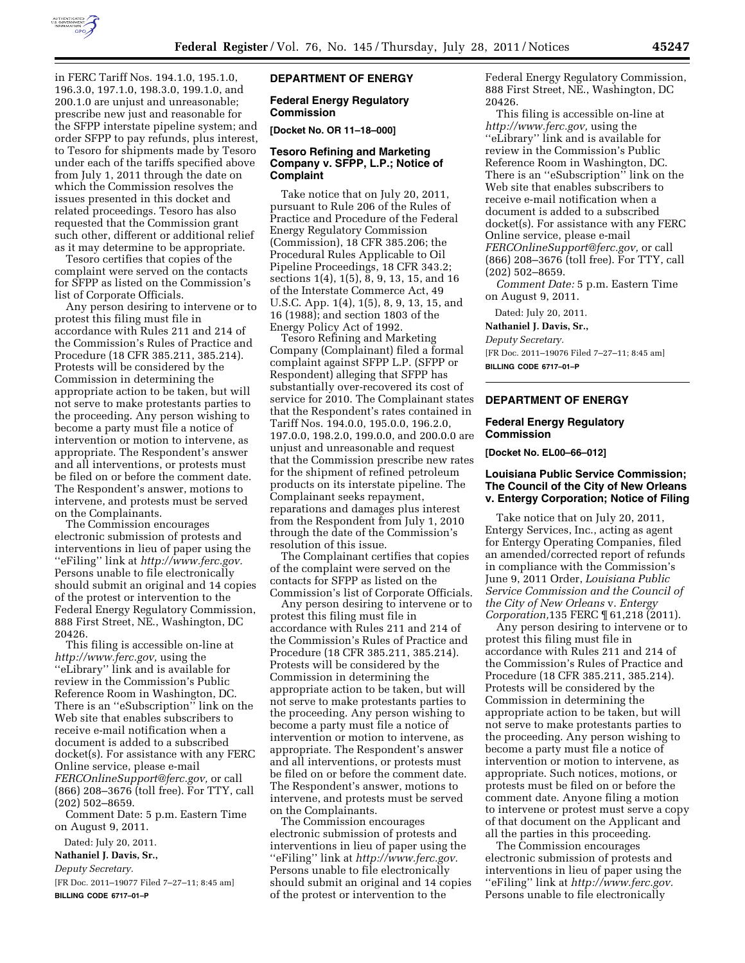

in FERC Tariff Nos. 194.1.0, 195.1.0, 196.3.0, 197.1.0, 198.3.0, 199.1.0, and 200.1.0 are unjust and unreasonable; prescribe new just and reasonable for the SFPP interstate pipeline system; and order SFPP to pay refunds, plus interest, to Tesoro for shipments made by Tesoro under each of the tariffs specified above from July 1, 2011 through the date on which the Commission resolves the issues presented in this docket and related proceedings. Tesoro has also requested that the Commission grant such other, different or additional relief as it may determine to be appropriate.

Tesoro certifies that copies of the complaint were served on the contacts for SFPP as listed on the Commission's list of Corporate Officials.

Any person desiring to intervene or to protest this filing must file in accordance with Rules 211 and 214 of the Commission's Rules of Practice and Procedure (18 CFR 385.211, 385.214). Protests will be considered by the Commission in determining the appropriate action to be taken, but will not serve to make protestants parties to the proceeding. Any person wishing to become a party must file a notice of intervention or motion to intervene, as appropriate. The Respondent's answer and all interventions, or protests must be filed on or before the comment date. The Respondent's answer, motions to intervene, and protests must be served on the Complainants.

The Commission encourages electronic submission of protests and interventions in lieu of paper using the ''eFiling'' link at *[http://www.ferc.gov.](http://www.ferc.gov)*  Persons unable to file electronically should submit an original and 14 copies of the protest or intervention to the Federal Energy Regulatory Commission, 888 First Street, NE., Washington, DC 20426.

This filing is accessible on-line at *[http://www.ferc.gov,](http://www.ferc.gov)* using the ''eLibrary'' link and is available for review in the Commission's Public Reference Room in Washington, DC. There is an ''eSubscription'' link on the Web site that enables subscribers to receive e-mail notification when a document is added to a subscribed docket(s). For assistance with any FERC Online service, please e-mail *[FERCOnlineSupport@ferc.gov,](mailto:FERCOnlineSupport@ferc.gov)* or call (866) 208–3676 (toll free). For TTY, call (202) 502–8659.

Comment Date: 5 p.m. Eastern Time on August 9, 2011.

Dated: July 20, 2011.

**Nathaniel J. Davis, Sr.,** 

*Deputy Secretary.* 

[FR Doc. 2011–19077 Filed 7–27–11; 8:45 am] **BILLING CODE 6717–01–P** 

# **DEPARTMENT OF ENERGY**

### **Federal Energy Regulatory Commission**

**[Docket No. OR 11–18–000]** 

## **Tesoro Refining and Marketing Company v. SFPP, L.P.; Notice of Complaint**

Take notice that on July 20, 2011, pursuant to Rule 206 of the Rules of Practice and Procedure of the Federal Energy Regulatory Commission (Commission), 18 CFR 385.206; the Procedural Rules Applicable to Oil Pipeline Proceedings, 18 CFR 343.2; sections 1(4), 1(5), 8, 9, 13, 15, and 16 of the Interstate Commerce Act, 49 U.S.C. App. 1(4), 1(5), 8, 9, 13, 15, and 16 (1988); and section 1803 of the Energy Policy Act of 1992.

Tesoro Refining and Marketing Company (Complainant) filed a formal complaint against SFPP L.P. (SFPP or Respondent) alleging that SFPP has substantially over-recovered its cost of service for 2010. The Complainant states that the Respondent's rates contained in Tariff Nos. 194.0.0, 195.0.0, 196.2.0, 197.0.0, 198.2.0, 199.0.0, and 200.0.0 are unjust and unreasonable and request that the Commission prescribe new rates for the shipment of refined petroleum products on its interstate pipeline. The Complainant seeks repayment, reparations and damages plus interest from the Respondent from July 1, 2010 through the date of the Commission's resolution of this issue.

The Complainant certifies that copies of the complaint were served on the contacts for SFPP as listed on the Commission's list of Corporate Officials.

Any person desiring to intervene or to protest this filing must file in accordance with Rules 211 and 214 of the Commission's Rules of Practice and Procedure (18 CFR 385.211, 385.214). Protests will be considered by the Commission in determining the appropriate action to be taken, but will not serve to make protestants parties to the proceeding. Any person wishing to become a party must file a notice of intervention or motion to intervene, as appropriate. The Respondent's answer and all interventions, or protests must be filed on or before the comment date. The Respondent's answer, motions to intervene, and protests must be served on the Complainants.

The Commission encourages electronic submission of protests and interventions in lieu of paper using the ''eFiling'' link at *[http://www.ferc.gov.](http://www.ferc.gov)*  Persons unable to file electronically should submit an original and 14 copies of the protest or intervention to the

Federal Energy Regulatory Commission, 888 First Street, NE., Washington, DC 20426.

This filing is accessible on-line at *[http://www.ferc.gov,](http://www.ferc.gov)* using the ''eLibrary'' link and is available for review in the Commission's Public Reference Room in Washington, DC. There is an ''eSubscription'' link on the Web site that enables subscribers to receive e-mail notification when a document is added to a subscribed docket(s). For assistance with any FERC Online service, please e-mail *[FERCOnlineSupport@ferc.gov,](mailto:FERCOnlineSupport@ferc.gov)* or call (866) 208–3676 (toll free). For TTY, call (202) 502–8659.

*Comment Date:* 5 p.m. Eastern Time on August 9, 2011.

Dated: July 20, 2011.

**Nathaniel J. Davis, Sr.,** 

*Deputy Secretary.*  [FR Doc. 2011–19076 Filed 7–27–11; 8:45 am] **BILLING CODE 6717–01–P** 

#### **DEPARTMENT OF ENERGY**

#### **Federal Energy Regulatory Commission**

**[Docket No. EL00–66–012]** 

## **Louisiana Public Service Commission; The Council of the City of New Orleans v. Entergy Corporation; Notice of Filing**

Take notice that on July 20, 2011, Entergy Services, Inc., acting as agent for Entergy Operating Companies, filed an amended/corrected report of refunds in compliance with the Commission's June 9, 2011 Order, *Louisiana Public Service Commission and the Council of the City of New Orleans* v. *Entergy Corporation,*135 FERC ¶ 61,218 (2011).

Any person desiring to intervene or to protest this filing must file in accordance with Rules 211 and 214 of the Commission's Rules of Practice and Procedure (18 CFR 385.211, 385.214). Protests will be considered by the Commission in determining the appropriate action to be taken, but will not serve to make protestants parties to the proceeding. Any person wishing to become a party must file a notice of intervention or motion to intervene, as appropriate. Such notices, motions, or protests must be filed on or before the comment date. Anyone filing a motion to intervene or protest must serve a copy of that document on the Applicant and all the parties in this proceeding.

The Commission encourages electronic submission of protests and interventions in lieu of paper using the ''eFiling'' link at *[http://www.ferc.gov.](http://www.ferc.gov)*  Persons unable to file electronically